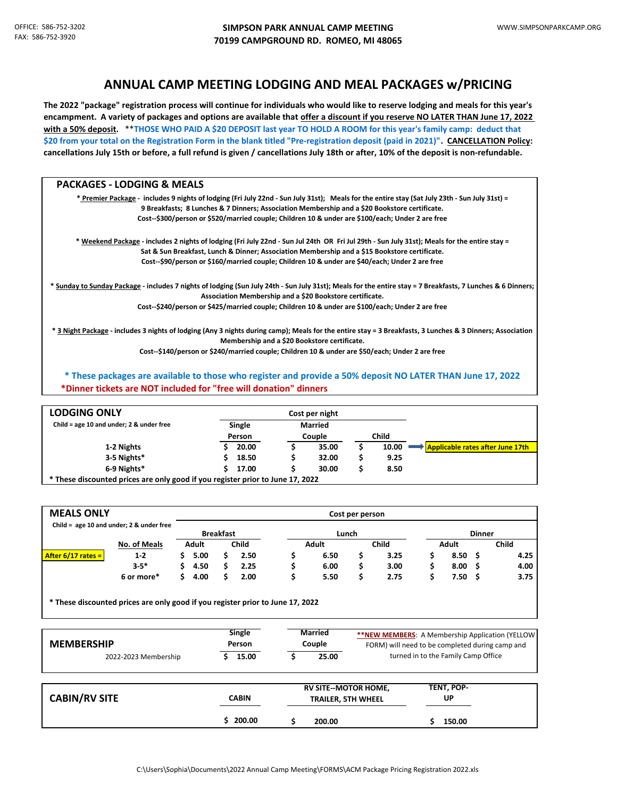## **ANNUAL CAMP MEETING LODGING AND MEAL PACKAGES w/PRICING**

**The 2022 "package" registration process will continue for individuals who would like to reserve lodging and meals for this year's encampment. A variety of packages and options are available that offer a discount if you reserve NO LATER THAN June 17, 2022 with a 50% deposit.** \*\***THOSE WHO PAID A \$20 DEPOSIT last year TO HOLD A ROOM for this year's family camp: deduct that \$20 from your total on the Registration Form in the blank titled "Pre-registration deposit (paid in 2021)". CANCELLATION Policy: cancellations July 15th or before, a full refund is given / cancellations July 18th or after, 10% of the deposit is non-refundable.**

| <b>PACKAGES - LODGING &amp; MEALS</b>                                                                                                                                                                                   |  |
|-------------------------------------------------------------------------------------------------------------------------------------------------------------------------------------------------------------------------|--|
| * Premier Package - includes 9 nights of lodging (Fri July 22nd - Sun July 31st); Meals for the entire stay (Sat July 23th - Sun July 31st) =                                                                           |  |
| 9 Breakfasts; 8 Lunches & 7 Dinners; Association Membership and a \$20 Bookstore certificate.                                                                                                                           |  |
| Cost--\$300/person or \$520/married couple; Children 10 & under are \$100/each; Under 2 are free                                                                                                                        |  |
| * Weekend Package - includes 2 nights of lodging (Fri July 22nd - Sun Jul 24th OR Fri Jul 29th - Sun July 31st); Meals for the entire stay =                                                                            |  |
| Sat & Sun Breakfast, Lunch & Dinner; Association Membership and a \$15 Bookstore certificate.                                                                                                                           |  |
| Cost--\$90/person or \$160/married couple; Children 10 & under are \$40/each; Under 2 are free                                                                                                                          |  |
| * Sunday to Sunday Package - includes 7 nights of lodging (Sun July 24th - Sun July 31st); Meals for the entire stay = 7 Breakfasts, 7 Lunches & 6 Dinners;<br>Association Membership and a \$20 Bookstore certificate. |  |
| Cost--\$240/person or \$425/married couple; Children 10 & under are \$100/each; Under 2 are free                                                                                                                        |  |
| * 3 Night Package - includes 3 nights of lodging (Any 3 nights during camp); Meals for the entire stay = 3 Breakfasts, 3 Lunches & 3 Dinners; Association<br>Membership and a \$20 Bookstore certificate.               |  |
| Cost--\$140/person or \$240/married couple; Children 10 & under are \$50/each; Under 2 are free                                                                                                                         |  |

 **\*Dinner tickets are NOT included for "free will donation" dinners \* These packages are available to those who register and provide a 50% deposit NO LATER THAN June 17, 2022**

| <b>LODGING ONLY</b><br>Child = age 10 and under; 2 & under free                |        |        | Cost per night |                |       |       |                                  |  |  |  |
|--------------------------------------------------------------------------------|--------|--------|----------------|----------------|-------|-------|----------------------------------|--|--|--|
|                                                                                |        | Single |                | <b>Married</b> |       |       |                                  |  |  |  |
|                                                                                | Person |        | Couple         |                | Child |       |                                  |  |  |  |
| 1-2 Nights                                                                     |        | 20.00  |                | 35.00          |       | 10.00 | Applicable rates after June 17th |  |  |  |
| 3-5 Nights*                                                                    |        | 18.50  |                | 32.00          |       | 9.25  |                                  |  |  |  |
| 6-9 Nights*                                                                    |        | 17.00  |                | 30.00          |       | 8.50  |                                  |  |  |  |
| * These discounted prices are only good if you register prior to June 17, 2022 |        |        |                |                |       |       |                                  |  |  |  |

| <b>MEALS ONLY</b>    |                                              |  |                  |  |              | Cost per person |       |  |       |               |       |     |              |
|----------------------|----------------------------------------------|--|------------------|--|--------------|-----------------|-------|--|-------|---------------|-------|-----|--------------|
|                      | Child = $age 10$ and under; $2 &$ under free |  |                  |  |              |                 |       |  |       |               |       |     |              |
|                      |                                              |  | <b>Breakfast</b> |  |              | Lunch           |       |  |       | <b>Dinner</b> |       |     |              |
|                      | <b>No. of Meals</b>                          |  | <b>Adult</b>     |  | <b>Child</b> |                 | Adult |  | Child |               | Adult |     | <b>Child</b> |
| After $6/17$ rates = | $1 - 2$                                      |  | 5.00             |  | 2.50         |                 | 6.50  |  | 3.25  |               | 8.50  | - S | 4.25         |
|                      | $3 - 5*$                                     |  | 4.50             |  | 2.25         |                 | 6.00  |  | 3.00  |               | 8.00  | - S | 4.00         |
|                      | 6 or more*                                   |  | 4.00             |  | 2.00         |                 | 5.50  |  | 2.75  |               | 7.50  |     | 3.75         |

**\* These discounted prices are only good if you register prior to June 17, 2022**

| <b>MEMBERSHIP</b><br>2022-2023 Membership | Single<br>Person<br>15.00 | <b>Married</b><br>Couple<br>25.00                                  | ** NEW MEMBERS: A Membership Application (YELLOW<br>FORM) will need to be completed during camp and<br>turned in to the Family Camp Office |                            |  |
|-------------------------------------------|---------------------------|--------------------------------------------------------------------|--------------------------------------------------------------------------------------------------------------------------------------------|----------------------------|--|
| <b>CABIN/RV SITE</b>                      | <b>CABIN</b><br>\$200.00  | <b>RV SITE--MOTOR HOME,</b><br><b>TRAILER, 5TH WHEEL</b><br>200.00 |                                                                                                                                            | TENT, POP-<br>UP<br>150.00 |  |